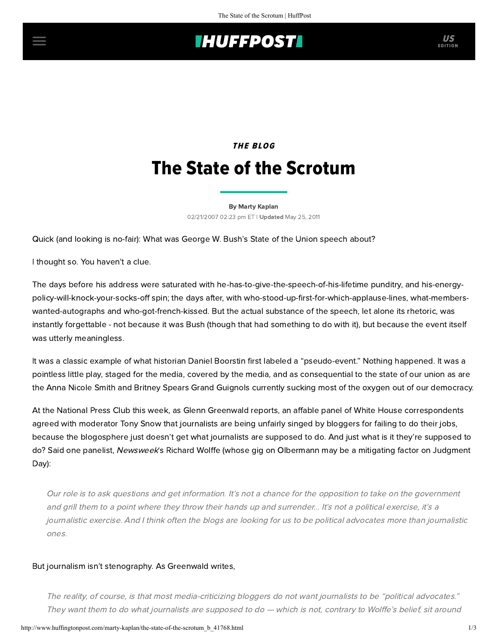## **IHUFFPOSTI** US

# THE BLOG The State of the Scrotum

[By Marty Kaplan](http://www.huffingtonpost.com/author/marty-kaplan) 02/21/2007 02:23 pm ET | Updated May 25, 2011

Quick (and looking is no-fair): What was George W. Bush's State of the Union speech about?

I thought so. You haven't a clue.

The days before his address were saturated with he-has-to-give-the-speech-of-his-lifetime punditry, and his-energypolicy-will-knock-your-socks-off spin; the days after, with who-stood-up-first-for-which-applause-lines, what-memberswanted-autographs and who-got-french-kissed. But the actual substance of the speech, let alone its rhetoric, was instantly forgettable - not because it was Bush (though that had something to do with it), but because the event itself was utterly meaningless.

It was a classic example of what historian [Daniel Boorstin](http://www.amazon.com/Image-Guide-Pseudo-Events-America/dp/0679741801) first labeled a "pseudo-event." Nothing happened. It was a pointless little play, staged for the media, covered by the media, and as consequential to the state of our union as are the Anna Nicole Smith and Britney Spears [Grand Guignols](http://www.grandguignol.com/) currently sucking most of the oxygen out of our democracy.

At the National Press Club this week, as [Glenn Greenwald](http://www.salon.com/opinion/greenwald/index.html?last_story=/opinion/greenwald/2007/02/21/wolffe/&source=refresh) reports, an affable panel of White House correspondents agreed with moderator Tony Snow that journalists are being unfairly singed by bloggers for failing to do their jobs, because the blogosphere just doesn't get what journalists are supposed to do. And just what is it they're supposed to do? Said one panelist, Newsweek's Richard Wolffe (whose gig on Olbermann may be a mitigating factor on Judgment Day):

Our role is to ask questions and get information. It's not a chance for the opposition to take on the government and grill them to a point where they throw their hands up and surrender... It's not a political exercise, it's a journalistic exercise. And I think often the blogs are looking for us to be political advocates more than journalistic ones.

### But journalism isn't stenography. As Greenwald writes,

The reality, of course, is that most media-criticizing bloggers do not want journalists to be "political advocates." They want them to do what journalists are supposed to do — which is not, contrary to Wolffe's belief, sit around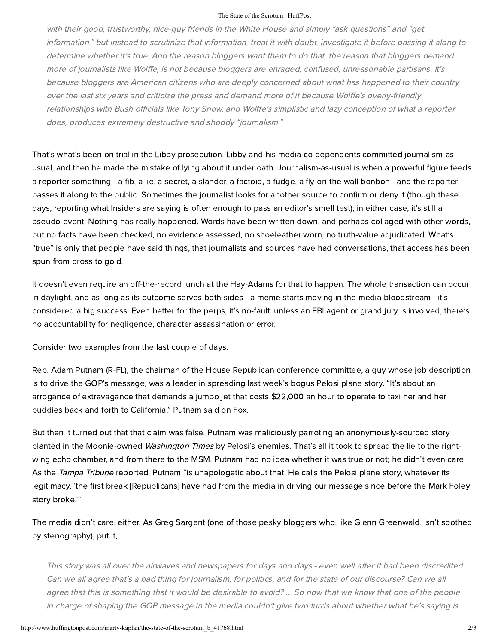#### The State of the Scrotum | HuffPost

with their good, trustworthy, nice-guy friends in the White House and simply "ask questions" and "get information," but instead to scrutinize that information, treat it with doubt, investigate it before passing it along to determine whether it's true. And the reason bloggers want them to do that, the reason that bloggers demand more of journalists like Wolffe, is not because bloggers are enraged, confused, unreasonable partisans. It's because bloggers are American citizens who are deeply concerned about what has happened to their country over the last six years and criticize the press and demand more of it because Wolffe's overly-friendly relationships with Bush officials like Tony Snow, and Wolffe's simplistic and lazy conception of what a reporter does, produces extremely destructive and shoddy "journalism."

That's what's been on trial in the Libby prosecution. Libby and his media co-dependents committed journalism-asusual, and then he made the mistake of lying about it under oath. Journalism-as-usual is when a powerful figure feeds a reporter something - a fib, a lie, a secret, a slander, a factoid, a fudge, a fly-on-the-wall bonbon - and the reporter passes it along to the public. Sometimes the journalist looks for another source to confirm or deny it (though these days, reporting what Insiders are saying is often enough to pass an editor's smell test); in either case, it's still a pseudo-event. Nothing has really happened. Words have been written down, and perhaps collaged with other words, but no facts have been checked, no evidence assessed, no shoeleather worn, no truth-value adjudicated. What's "true" is only that people have said things, that journalists and sources have had conversations, that access has been spun from dross to gold.

It doesn't even require an off-the-record lunch at the Hay-Adams for that to happen. The whole transaction can occur in daylight, and as long as its outcome serves both sides - a meme starts moving in the media bloodstream - it's considered a big success. Even better for the perps, it's no-fault: unless an FBI agent or grand jury is involved, there's no accountability for negligence, character assassination or error.

Consider two examples from the last couple of days.

Rep. Adam Putnam (R-FL), the chairman of the House Republican conference committee, a guy whose job description is to drive the GOP's message, was a leader in spreading last week's bogus Pelosi plane story. "It's about an arrogance of extravagance that demands a jumbo jet that costs \$22,000 an hour to operate to taxi her and her buddies back and forth to California," Putnam said on Fox.

But then it turned out that that claim was false. Putnam was maliciously parroting an anonymously-sourced story planted in the Moonie-owned *Washington Times* by Pelosi's enemies. That's all it took to spread the lie to the rightwing echo chamber, and from there to the MSM. Putnam had no idea whether it was true or not; he didn't even care. As the [Tampa Tribune](http://www.tbo.com/news/nationworld/MGB16WIUDYE.html) reported, Putnam "is unapologetic about that. He calls the Pelosi plane story, whatever its legitimacy, 'the first break [Republicans] have had from the media in driving our message since before the Mark Foley story broke.'"

The media didn't care, either. As [Greg Sargent](http://talkingpointsmemo.com/horsesmouth/2007/02/gop_rep_who_pus.php) (one of those pesky bloggers who, like Glenn Greenwald, isn't soothed by stenography), put it,

This story was all over the airwaves and newspapers for days and days - even well after it had been discredited. Can we all agree that's a bad thing for journalism, for politics, and for the state of our discourse? Can we all agree that this is something that it would be desirable to avoid? ... So now that we know that one of the people in charge of shaping the GOP message in the media couldn't give two turds about whether what he's saying is